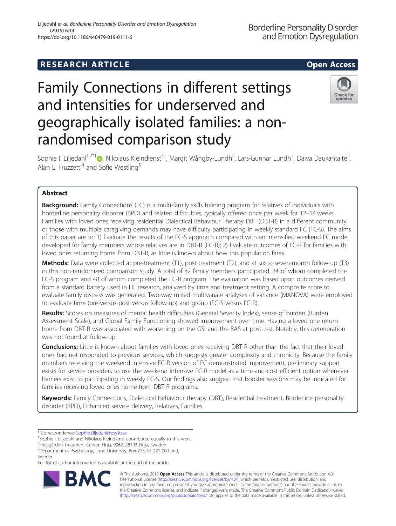# **RESEARCH ARTICLE Example 20 and 20 and 20 and 20 and 20 and 20 and 20 and 20 and 20 and 20 and 20 and 20 and 20 and 20 and 20 and 20 and 20 and 20 and 20 and 20 and 20 and 20 and 20 and 20 and 20 and 20 and 20 and 20 an**

# Family Connections in different settings and intensities for underserved and geographically isolated families: a nonrandomised comparison study



Sophie I. Liljedahl<sup>1,2\*[†](http://orcid.org/0000-0002-6505-9818)</sup>®, Nikolaus Kleindienst<sup>3†</sup>, Margit Wångby-Lundh<sup>2</sup>, Lars-Gunnar Lundh<sup>2</sup>, Daiva Daukantaitė<sup>2</sup> .<br>, Alan E. Fruzzetti<sup>4</sup> and Sofie Westling<sup>5</sup>

# Abstract

**Background:** Family Connections (FC) is a multi-family skills training program for relatives of individuals with borderline personality disorder (BPD) and related difficulties, typically offered once per week for 12–14 weeks. Families with loved ones receiving residential Dialectical Behaviour Therapy DBT (DBT-R) in a different community, or those with multiple caregiving demands may have difficulty participating in weekly standard FC (FC-S). The aims of this paper are to: 1) Evaluate the results of the FC-S approach compared with an intensified weekend FC model developed for family members whose relatives are in DBT-R (FC-R); 2) Evaluate outcomes of FC-R for families with loved ones returning home from DBT-R, as little is known about how this population fares.

Methods: Data were collected at pre-treatment (T1), post-treatment (T2), and at six-to-seven-month follow-up (T3) in this non-randomized comparison study. A total of 82 family members participated, 34 of whom completed the FC-S program and 48 of whom completed the FC-R program. The evaluation was based upon outcomes derived from a standard battery used in FC research, analyzed by time and treatment setting. A composite score to evaluate family distress was generated. Two-way mixed multivariate analyses of variance (MANOVA) were employed to evaluate time (pre-versus-post versus follow-up) and group (FC-S versus FC-R).

Results: Scores on measures of mental health difficulties (General Severity Index), sense of burden (Burden Assessment Scale), and Global Family Functioning showed improvement over time. Having a loved one return home from DBT-R was associated with worsening on the GSI and the BAS at post-test. Notably, this deterioration was not found at follow-up.

**Conclusions:** Little is known about families with loved ones receiving DBT-R other than the fact that their loved ones had not responded to previous services, which suggests greater complexity and chronicity. Because the family members receiving the weekend intensive FC-R version of FC demonstrated improvement, preliminary support exists for service providers to use the weekend intensive FC-R model as a time-and-cost efficient option whenever barriers exist to participating in weekly FC-S. Our findings also suggest that booster sessions may be indicated for families receiving loved ones home from DBT-R programs.

Keywords: Family Connections, Dialectical behaviour therapy (DBT), Residential treatment, Borderline personality disorder (BPD), Enhanced service delivery, Relatives, Families

Sweden

Full list of author information is available at the end of the article



© The Author(s). 2019 **Open Access** This article is distributed under the terms of the Creative Commons Attribution 4.0 International License [\(http://creativecommons.org/licenses/by/4.0/](http://creativecommons.org/licenses/by/4.0/)), which permits unrestricted use, distribution, and reproduction in any medium, provided you give appropriate credit to the original author(s) and the source, provide a link to the Creative Commons license, and indicate if changes were made. The Creative Commons Public Domain Dedication waiver [\(http://creativecommons.org/publicdomain/zero/1.0/](http://creativecommons.org/publicdomain/zero/1.0/)) applies to the data made available in this article, unless otherwise stated.

<sup>\*</sup> Correspondence: [Sophie.Liljedahl@psy.lu.se](mailto:Sophie.Liljedahl@psy.lu.se) †

<sup>&</sup>lt;sup>+</sup>Sophie I. Liljedahl and Nikolaus Kleindienst contributed equally to this work.

<sup>&</sup>lt;sup>1</sup> Finjagården Treatment Center, Finja, 9062, 28193 Finja, Sweden 2 Department of Psychology, Lund University, Box 213, SE-221 00 Lund,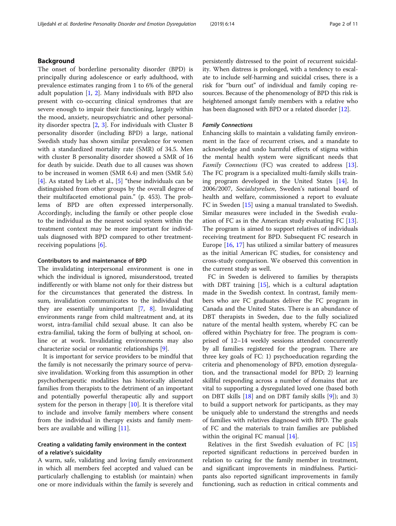# Background

The onset of borderline personality disorder (BPD) is principally during adolescence or early adulthood, with prevalence estimates ranging from 1 to 6% of the general adult population [[1,](#page-10-0) [2](#page-10-0)]. Many individuals with BPD also present with co-occurring clinical syndromes that are severe enough to impair their functioning, largely within the mood, anxiety, neuropsychiatric and other personality disorder spectra [\[2](#page-10-0), [3\]](#page-10-0). For individuals with Cluster B personality disorder (including BPD) a large, national Swedish study has shown similar prevalence for women with a standardized mortality rate (SMR) of 34.5. Men with cluster B personality disorder showed a SMR of 16 for death by suicide. Death due to all causes was shown to be increased in women (SMR 6.4) and men (SMR 5.6) [[4\]](#page-10-0). As stated by Lieb et al., [[5\]](#page-10-0) "these individuals can be distinguished from other groups by the overall degree of their multifaceted emotional pain." (p. 453). The problems of BPD are often expressed interpersonally. Accordingly, including the family or other people close to the individual as the nearest social system within the treatment context may be more important for individuals diagnosed with BPD compared to other treatmentreceiving populations [\[6](#page-10-0)].

#### Contributors to and maintenance of BPD

The invalidating interpersonal environment is one in which the individual is ignored, misunderstood, treated indifferently or with blame not only for their distress but for the circumstances that generated the distress. In sum, invalidation communicates to the individual that they are essentially unimportant [[7,](#page-10-0) [8\]](#page-10-0). Invalidating environments range from child maltreatment and, at its worst, intra-familial child sexual abuse. It can also be extra-familial, taking the form of bullying at school, online or at work. Invalidating environments may also characterize social or romantic relationships [\[9\]](#page-10-0).

It is important for service providers to be mindful that the family is not necessarily the primary source of pervasive invalidation. Working from this assumption in other psychotherapeutic modalities has historically alienated families from therapists to the detriment of an important and potentially powerful therapeutic ally and support system for the person in therapy  $[10]$  $[10]$ . It is therefore vital to include and involve family members where consent from the individual in therapy exists and family mem-bers are available and willing [\[11\]](#page-10-0).

# Creating a validating family environment in the context of a relative's suicidality

A warm, safe, validating and loving family environment in which all members feel accepted and valued can be particularly challenging to establish (or maintain) when one or more individuals within the family is severely and persistently distressed to the point of recurrent suicidality. When distress is prolonged, with a tendency to escalate to include self-harming and suicidal crises, there is a risk for "burn out" of individual and family coping resources. Because of the phenomenology of BPD this risk is heightened amongst family members with a relative who has been diagnosed with BPD or a related disorder [[12](#page-10-0)].

### Family Connections

Enhancing skills to maintain a validating family environment in the face of recurrent crises, and a mandate to acknowledge and undo harmful effects of stigma within the mental health system were significant needs that Family Connections (FC) was created to address [\[13](#page-10-0)]. The FC program is a specialized multi-family skills training program developed in the United States [\[14\]](#page-10-0). In 2006/2007, Socialstyrelsen, Sweden's national board of health and welfare, commissioned a report to evaluate FC in Sweden [[15\]](#page-10-0) using a manual translated to Swedish. Similar measures were included in the Swedish evaluation of FC as in the American study evaluating FC [\[13](#page-10-0)]. The program is aimed to support relatives of individuals receiving treatment for BPD. Subsequent FC research in Europe [\[16,](#page-10-0) [17\]](#page-10-0) has utilized a similar battery of measures as the initial American FC studies, for consistency and cross-study comparison. We observed this convention in the current study as well.

FC in Sweden is delivered to families by therapists with DBT training [[15\]](#page-10-0), which is a cultural adaptation made in the Swedish context. In contrast, family members who are FC graduates deliver the FC program in Canada and the United States. There is an abundance of DBT therapists in Sweden, due to the fully socialized nature of the mental health system, whereby FC can be offered within Psychiatry for free. The program is comprised of 12–14 weekly sessions attended concurrently by all families registered for the program. There are three key goals of FC: 1) psychoeducation regarding the criteria and phenomenology of BPD, emotion dysregulation, and the transactional model for BPD; 2) learning skillful responding across a number of domains that are vital to supporting a dysregulated loved one (based both on DBT skills [\[18](#page-10-0)] and on DBT family skills [\[9](#page-10-0)]); and 3) to build a support network for participants, as they may be uniquely able to understand the strengths and needs of families with relatives diagnosed with BPD. The goals of FC and the materials to train families are published within the original FC manual [\[14](#page-10-0)].

Relatives in the first Swedish evaluation of FC [[15](#page-10-0)] reported significant reductions in perceived burden in relation to caring for the family member in treatment, and significant improvements in mindfulness. Participants also reported significant improvements in family functioning, such as reduction in critical comments and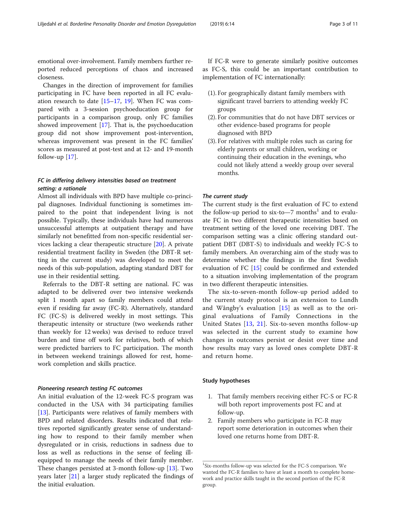emotional over-involvement. Family members further reported reduced perceptions of chaos and increased closeness.

Changes in the direction of improvement for families participating in FC have been reported in all FC evaluation research to date  $[15-17, 19]$  $[15-17, 19]$  $[15-17, 19]$  $[15-17, 19]$  $[15-17, 19]$ . When FC was compared with a 3-session psychoeducation group for participants in a comparison group, only FC families showed improvement [\[17](#page-10-0)]. That is, the psychoeducation group did not show improvement post-intervention, whereas improvement was present in the FC families' scores as measured at post-test and at 12- and 19-month follow-up [[17\]](#page-10-0).

# FC in differing delivery intensities based on treatment setting: a rationale

Almost all individuals with BPD have multiple co-principal diagnoses. Individual functioning is sometimes impaired to the point that independent living is not possible. Typically, these individuals have had numerous unsuccessful attempts at outpatient therapy and have similarly not benefitted from non-specific residential services lacking a clear therapeutic structure [\[20](#page-10-0)]. A private residential treatment facility in Sweden (the DBT-R setting in the current study) was developed to meet the needs of this sub-population, adapting standard DBT for use in their residential setting.

Referrals to the DBT-R setting are national. FC was adapted to be delivered over two intensive weekends split 1 month apart so family members could attend even if residing far away (FC-R). Alternatively, standard FC (FC-S) is delivered weekly in most settings. This therapeutic intensity or structure (two weekends rather than weekly for 12 weeks) was devised to reduce travel burden and time off work for relatives, both of which were predicted barriers to FC participation. The month in between weekend trainings allowed for rest, homework completion and skills practice.

### Pioneering research testing FC outcomes

An initial evaluation of the 12-week FC-S program was conducted in the USA with 34 participating families [[13\]](#page-10-0). Participants were relatives of family members with BPD and related disorders. Results indicated that relatives reported significantly greater sense of understanding how to respond to their family member when dysregulated or in crisis, reductions in sadness due to loss as well as reductions in the sense of feeling illequipped to manage the needs of their family member. These changes persisted at 3-month follow-up [[13\]](#page-10-0). Two years later [[21\]](#page-10-0) a larger study replicated the findings of the initial evaluation.

If FC-R were to generate similarly positive outcomes as FC-S, this could be an important contribution to implementation of FC internationally:

- (1). For geographically distant family members with significant travel barriers to attending weekly FC groups
- (2). For communities that do not have DBT services or other evidence-based programs for people diagnosed with BPD
- (3). For relatives with multiple roles such as caring for elderly parents or small children, working or continuing their education in the evenings, who could not likely attend a weekly group over several months.

#### The current study

The current study is the first evaluation of FC to extend the follow-up period to six-to-7 months<sup>1</sup> and to evaluate FC in two different therapeutic intensities based on treatment setting of the loved one receiving DBT. The comparison setting was a clinic offering standard outpatient DBT (DBT-S) to individuals and weekly FC-S to family members. An overarching aim of the study was to determine whether the findings in the first Swedish evaluation of FC [[15\]](#page-10-0) could be confirmed and extended to a situation involving implementation of the program in two different therapeutic intensities.

The six-to-seven-month follow-up period added to the current study protocol is an extension to Lundh and Wångby's evaluation  $[15]$  $[15]$  $[15]$  as well as to the original evaluations of Family Connections in the United States [[13,](#page-10-0) [21](#page-10-0)]. Six-to-seven months follow-up was selected in the current study to examine how changes in outcomes persist or desist over time and how results may vary as loved ones complete DBT-R and return home.

# Study hypotheses

- 1. That family members receiving either FC-S or FC-R will both report improvements post FC and at follow-up.
- 2. Family members who participate in FC-R may report some deterioration in outcomes when their loved one returns home from DBT-R.

<sup>1</sup> Six-months follow-up was selected for the FC-S comparison. We wanted the FC-R families to have at least a month to complete homework and practice skills taught in the second portion of the FC-R group.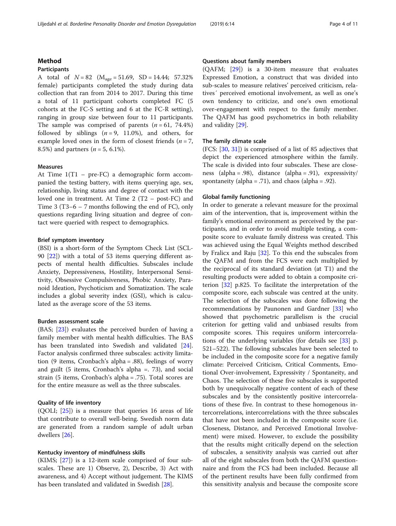# Method

# Participants

A total of  $N = 82$  ( $M_{\text{age}} = 51.69$ , SD = 14.44; 57.32% female) participants completed the study during data collection that ran from 2014 to 2017. During this time a total of 11 participant cohorts completed FC (5 cohorts at the FC-S setting and 6 at the FC-R setting), ranging in group size between four to 11 participants. The sample was comprised of parents  $(n = 61, 74.4\%)$ followed by siblings  $(n = 9, 11.0\%)$ , and others, for example loved ones in the form of closest friends ( $n = 7$ , 8.5%) and partners ( $n = 5, 6.1\%$ ).

# Measures

At Time 1(T1 – pre-FC) a demographic form accompanied the testing battery, with items querying age, sex, relationship, living status and degree of contact with the loved one in treatment. At Time 2 (T2 – post-FC) and Time 3 (T3–6 – 7 months following the end of FC), only questions regarding living situation and degree of contact were queried with respect to demographics.

#### Brief symptom inventory

(BSI) is a short-form of the Symptom Check List (SCL-90 [[22\]](#page-10-0)) with a total of 53 items querying different aspects of mental health difficulties. Subscales include Anxiety, Depressiveness, Hostility, Interpersonal Sensitivity, Obsessive Compulsiveness, Phobic Anxiety, Paranoid Ideation, Psychoticism and Somatization. The scale includes a global severity index (GSI), which is calculated as the average score of the 53 items.

#### Burden assessment scale

(BAS; [\[23](#page-10-0)]) evaluates the perceived burden of having a family member with mental health difficulties. The BAS has been translated into Swedish and validated [\[24](#page-10-0)]. Factor analysis confirmed three subscales: activity limitation (9 items, Cronbach's alpha = .88), feelings of worry and guilt (5 items, Cronbach's alpha  $=$ . 73), and social strain (5 items, Cronbach's alpha = .75). Total scores are for the entire measure as well as the three subscales.

#### Quality of life inventory

(QOLI; [[25\]](#page-10-0)) is a measure that queries 16 areas of life that contribute to overall well-being. Swedish norm data are generated from a random sample of adult urban dwellers [\[26](#page-10-0)].

# Kentucky inventory of mindfulness skills

(KIMS; [\[27](#page-10-0)]) is a 12-item scale comprised of four subscales. These are 1) Observe, 2), Describe, 3) Act with awareness, and 4) Accept without judgement. The KIMS has been translated and validated in Swedish [[28\]](#page-10-0).

# Questions about family members

(QAFM; [\[29](#page-10-0)]) is a 30-item measure that evaluates Expressed Emotion, a construct that was divided into sub-scales to measure relatives' perceived criticism, relatives´ perceived emotional involvement, as well as one's own tendency to criticize, and one's own emotional over-engagement with respect to the family member. The QAFM has good psychometrics in both reliability and validity [\[29\]](#page-10-0).

## The family climate scale

(FCS: [\[30,](#page-10-0) [31\]](#page-10-0)) is comprised of a list of 85 adjectives that depict the experienced atmosphere within the family. The scale is divided into four subscales. These are closeness (alpha = .98), distance (alpha = .91), expressivity/ spontaneity (alpha = .71), and chaos (alpha = .92).

#### Global family functioning

In order to generate a relevant measure for the proximal aim of the intervention, that is, improvement within the family's emotional environment as perceived by the participants, and in order to avoid multiple testing, a composite score to evaluate family distress was created. This was achieved using the Equal Weights method described by Fralicx and Raju [[32](#page-10-0)]. To this end the subscales from the QAFM and from the FCS were each multiplied by the reciprocal of its standard deviation (at T1) and the resulting products were added to obtain a composite criterion [\[32](#page-10-0)] p.825. To facilitate the interpretation of the composite score, each subscale was centred at the unity. The selection of the subscales was done following the recommendations by Paunonen and Gardner [[33\]](#page-10-0) who showed that psychometric parallelism is the crucial criterion for getting valid and unbiased results from composite scores. This requires uniform intercorrelations of the underlying variables (for details see [\[33\]](#page-10-0) p. 521–522). The following subscales have been selected to be included in the composite score for a negative family climate: Perceived Criticism, Critical Comments, Emotional Over-involvement, Expressivity / Spontaneity, and Chaos. The selection of these five subscales is supported both by unequivocally negative content of each of these subscales and by the consistently positive intercorrelations of these five. In contrast to these homogenous intercorrelations, intercorrelations with the three subscales that have not been included in the composite score (i.e. Closeness, Distance, and Perceived Emotional Involvement) were mixed. However, to exclude the possibility that the results might critically depend on the selection of subscales, a sensitivity analysis was carried out after all of the eight subscales from both the QAFM questionnaire and from the FCS had been included. Because all of the pertinent results have been fully confirmed from this sensitivity analysis and because the composite score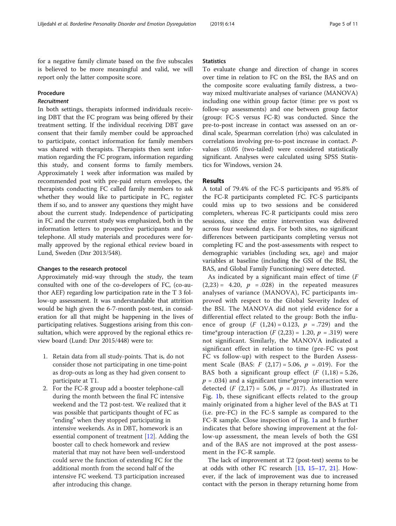for a negative family climate based on the five subscales is believed to be more meaningful and valid, we will report only the latter composite score.

# Procedure

# Recruitment

In both settings, therapists informed individuals receiving DBT that the FC program was being offered by their treatment setting. If the individual receiving DBT gave consent that their family member could be approached to participate, contact information for family members was shared with therapists. Therapists then sent information regarding the FC program, information regarding this study, and consent forms to family members. Approximately 1 week after information was mailed by recommended post with pre-paid return envelopes, the therapists conducting FC called family members to ask whether they would like to participate in FC, register them if so, and to answer any questions they might have about the current study. Independence of participating in FC and the current study was emphasized, both in the information letters to prospective participants and by telephone. All study materials and procedures were formally approved by the regional ethical review board in Lund, Sweden (Dnr 2013/548).

# Changes to the research protocol

Approximately mid-way through the study, the team consulted with one of the co-developers of FC, (co-author AEF) regarding low participation rate in the T 3 follow-up assessment. It was understandable that attrition would be high given the 6-7-month post-test, in consideration for all that might be happening in the lives of participating relatives. Suggestions arising from this consultation, which were approved by the regional ethics review board (Lund: Dnr 2015/448) were to:

- 1. Retain data from all study-points. That is, do not consider those not participating in one time-point as drop-outs as long as they had given consent to participate at T1.
- 2. For the FC-R group add a booster telephone-call during the month between the final FC intensive weekend and the T2 post-test. We realized that it was possible that participants thought of FC as "ending" when they stopped participating in intensive weekends. As in DBT, homework is an essential component of treatment [[12](#page-10-0)]. Adding the booster call to check homework and review material that may not have been well-understood could serve the function of extending FC for the additional month from the second half of the intensive FC weekend. T3 participation increased after introducing this change.

# **Statistics**

To evaluate change and direction of change in scores over time in relation to FC on the BSI, the BAS and on the composite score evaluating family distress, a twoway mixed multivariate analyses of variance (MANOVA) including one within group factor (time: pre vs post vs follow-up assessments) and one between group factor (group: FC-S versus FC-R) was conducted. Since the pre-to-post increase in contact was assessed on an ordinal scale, Spearman correlation (rho) was calculated in correlations involving pre-to-post increase in contact. Pvalues ≤0.05 (two-tailed) were considered statistically significant. Analyses were calculated using SPSS Statistics for Windows, version 24.

# Results

A total of 79.4% of the FC-S participants and 95.8% of the FC-R participants completed FC. FC-S participants could miss up to two sessions and be considered completers, whereas FC-R participants could miss zero sessions, since the entire intervention was delivered across four weekend days. For both sites, no significant differences between participants completing versus not completing FC and the post-assessments with respect to demographic variables (including sex, age) and major variables at baseline (including the GSI of the BSI, the BAS, and Global Family Functioning) were detected.

As indicated by a significant main effect of time  $(F)$  $(2,23) = 4.20, p = .028$  in the repeated measures analyses of variance (MANOVA), FC participants improved with respect to the Global Severity Index of the BSI. The MANOVA did not yield evidence for a differential effect related to the group: Both the influence of group  $(F (1,24) = 0.123, p = .729)$  and the time\*group interaction  $(F (2,23) = 1.20, p = .319)$  were not significant. Similarly, the MANOVA indicated a significant effect in relation to time (pre-FC vs post FC vs follow-up) with respect to the Burden Assessment Scale (BAS:  $F(2,17) = 5.06$ ,  $p = .019$ ). For the BAS both a significant group effect  $(F (1,18) = 5.26,$  $p = .034$ ) and a significant time\*group interaction were detected  $(F (2,17) = 5.06, p = .017)$ . As illustrated in Fig. [1b](#page-5-0), these significant effects related to the group mainly originated from a higher level of the BAS at T1 (i.e. pre-FC) in the FC-S sample as compared to the FC-R sample. Close inspection of Fig. [1a](#page-5-0) and b further indicates that before showing improvement at the follow-up assessment, the mean levels of both the GSI and of the BAS are not improved at the post assessment in the FC-R sample.

The lack of improvement at T2 (post-test) seems to be at odds with other FC research [\[13,](#page-10-0) [15](#page-10-0)–[17](#page-10-0), [21\]](#page-10-0). However, if the lack of improvement was due to increased contact with the person in therapy returning home from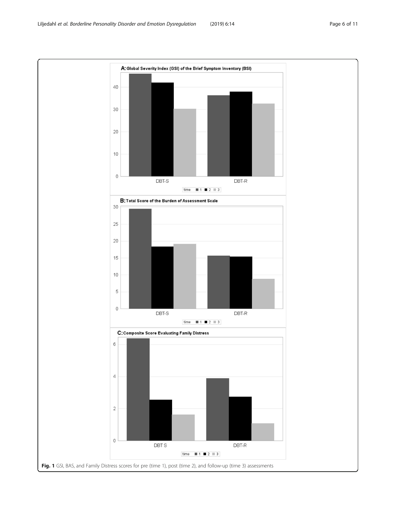<span id="page-5-0"></span>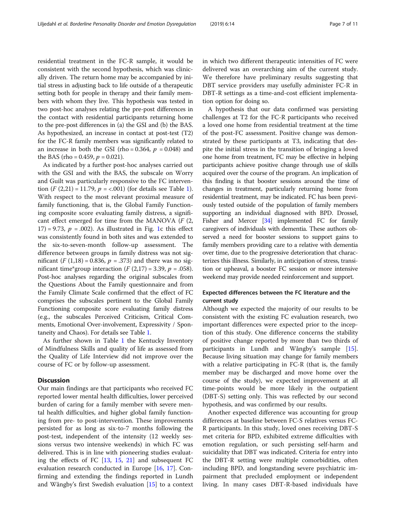residential treatment in the FC-R sample, it would be consistent with the second hypothesis, which was clinically driven. The return home may be accompanied by initial stress in adjusting back to life outside of a therapeutic setting both for people in therapy and their family members with whom they live. This hypothesis was tested in two post-hoc analyses relating the pre-post differences in the contact with residential participants returning home to the pre-post differences in (a) the GSI and (b) the BAS. As hypothesized, an increase in contact at post-test (T2) for the FC-R family members was significantly related to an increase in both the GSI (rho =  $0.364$ ,  $p = 0.048$ ) and the BAS (rho = 0.459,  $p = 0.021$ ).

As indicated by a further post-hoc analyses carried out with the GSI and with the BAS, the subscale on Worry and Guilt was particularly responsive to the FC intervention  $(F (2,21) = 11.79, p = <.001)$  $(F (2,21) = 11.79, p = <.001)$  $(F (2,21) = 11.79, p = <.001)$  (for details see Table 1). With respect to the most relevant proximal measure of family functioning, that is, the Global Family Functioning composite score evaluating family distress, a significant effect emerged for time from the MANOVA  $(F (2,$  $17$ ) = 9.73,  $p = .002$ ). As illustrated in Fig. [1c](#page-5-0) this effect was consistently found in both sites and was extended to the six-to-seven-month follow-up assessment. The difference between groups in family distress was not significant  $(F (1,18) = 0.836, p = .373)$  and there was no significant time\*group interaction  $(F(2,17) = 3.39, p = .058)$ . Post-hoc analyses regarding the original subscales from the Questions About the Family questionnaire and from the Family Climate Scale confirmed that the effect of FC comprises the subscales pertinent to the Global Family Functioning composite score evaluating family distress (e.g., the subscales Perceived Criticism, Critical Comments, Emotional Over-involvement, Expressivity / Spontaneity and Chaos). For details see Table [1.](#page-7-0)

As further shown in Table [1](#page-7-0) the Kentucky Inventory of Mindfulness Skills and quality of life as assessed from the Quality of Life Interview did not improve over the course of FC or by follow-up assessment.

# **Discussion**

Our main findings are that participants who received FC reported lower mental health difficulties, lower perceived burden of caring for a family member with severe mental health difficulties, and higher global family functioning from pre- to post-intervention. These improvements persisted for as long as six-to-7 months following the post-test, independent of the intensity (12 weekly sessions versus two intensive weekends) in which FC was delivered. This is in line with pioneering studies evaluating the effects of FC [[13,](#page-10-0) [15,](#page-10-0) [21\]](#page-10-0) and subsequent FC evaluation research conducted in Europe [[16,](#page-10-0) [17\]](#page-10-0). Confirming and extending the findings reported in Lundh and Wångby's first Swedish evaluation [[15](#page-10-0)] to a context in which two different therapeutic intensities of FC were delivered was an overarching aim of the current study. We therefore have preliminary results suggesting that DBT service providers may usefully administer FC-R in DBT-R settings as a time-and-cost efficient implementation option for doing so.

A hypothesis that our data confirmed was persisting challenges at T2 for the FC-R participants who received a loved one home from residential treatment at the time of the post-FC assessment. Positive change was demonstrated by these participants at T3, indicating that despite the initial stress in the transition of bringing a loved one home from treatment, FC may be effective in helping participants achieve positive change through use of skills acquired over the course of the program. An implication of this finding is that booster sessions around the time of changes in treatment, particularly returning home from residential treatment, may be indicated. FC has been previously tested outside of the population of family members supporting an individual diagnosed with BPD. Drossel, Fisher and Mercer [\[34\]](#page-10-0) implemented FC for family caregivers of individuals with dementia. These authors observed a need for booster sessions to support gains to family members providing care to a relative with dementia over time, due to the progressive deterioration that characterizes this illness. Similarly, in anticipation of stress, transition or upheaval, a booster FC session or more intensive weekend may provide needed reinforcement and support.

# Expected differences between the FC literature and the current study

Although we expected the majority of our results to be consistent with the existing FC evaluation research, two important differences were expected prior to the inception of this study. One difference concerns the stability of positive change reported by more than two thirds of participants in Lundh and Wångby's sample [\[15](#page-10-0)]. Because living situation may change for family members with a relative participating in FC-R (that is, the family member may be discharged and move home over the course of the study), we expected improvement at all time-points would be more likely in the outpatient (DBT-S) setting only. This was reflected by our second hypothesis, and was confirmed by our results.

Another expected difference was accounting for group differences at baseline between FC-S relatives versus FC-R participants. In this study, loved ones receiving DBT-S met criteria for BPD, exhibited extreme difficulties with emotion regulation, or such persisting self-harm and suicidality that DBT was indicated. Criteria for entry into the DBT-R setting were multiple comorbidities, often including BPD, and longstanding severe psychiatric impairment that precluded employment or independent living. In many cases DBT-R-based individuals have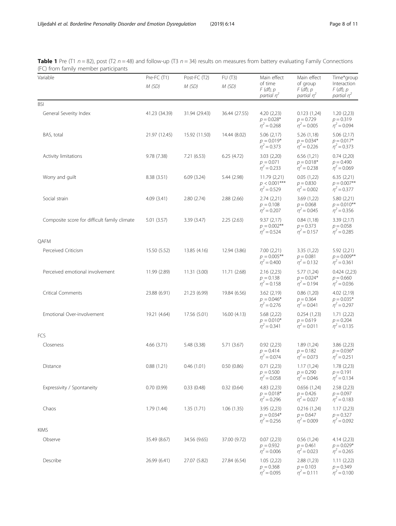<span id="page-7-0"></span>Table 1 Pre (T1  $n = 82$ ), post (T2  $n = 48$ ) and follow-up (T3  $n = 34$ ) results on measures from battery evaluating Family Connections (FC) from family member participants

| Variable                                     | Pre-FC (T1)   | Post-FC (T2)  | FU (T3)       | Main effect                                       | Main effect                                     | Time*group                                       |
|----------------------------------------------|---------------|---------------|---------------|---------------------------------------------------|-------------------------------------------------|--------------------------------------------------|
|                                              | M (SD)        | M (SD)        | M(SD)         | of time<br>$F$ (df); $p$<br>partial $\eta^2$      | of group<br>$F$ (df); $p$<br>partial $\eta^2$   | Interaction<br>$F$ (df); $p$<br>partial $\eta^2$ |
| <b>BSI</b>                                   |               |               |               |                                                   |                                                 |                                                  |
| General Severity Index                       | 41.23 (34.39) | 31.94 (29.43) | 36.44 (27.55) | 4.20 (2,23)<br>$p = 0.028*$<br>$\eta^2 = 0.268$   | 0.123(1,24)<br>$p = 0.729$<br>$\eta^2 = 0.005$  | 1.20(2,23)<br>$p = 0.319$<br>$\eta^2 = 0.094$    |
| BAS, total                                   | 21.97 (12.45) | 15.92 (11.50) | 14.44 (8.02)  | 5.06(2,17)<br>$p = 0.019*$<br>$\eta^2 = 0.373$    | 5.26(1,18)<br>$p = 0.034*$<br>$\eta^2 = 0.226$  | 5.06(2,17)<br>$p = 0.017*$<br>$\eta^2 = 0.373$   |
| Activity limitations                         | 9.78 (7.38)   | 7.21 (6.53)   | 6.25(4.72)    | 3.03(2,20)<br>$p = 0.071$<br>$\eta^2 = 0.233$     | 6.56(1,21)<br>$p = 0.018*$<br>$n^2$ = 0.238     | 0.74(2,20)<br>$p = 0.490$<br>$\eta^2 = 0.069$    |
| Worry and guilt                              | 8.38 (3.51)   | 6.09(3.24)    | 5.44 (2.98)   | 11.79(2,21)<br>$p < 0.001***$<br>$\eta^2 = 0.529$ | 0.05(1,22)<br>$p = 0.830$<br>$\eta^2 = 0.002$   | 6.35(2,21)<br>$p = 0.007**$<br>$\eta^2 = 0.377$  |
| Social strain                                | 4.09(3.41)    | 2.80(2.74)    | 2.88(2.66)    | 2.74(2,21)<br>$p = 0.108$<br>$\eta^2 = 0.207$     | 3.69(1,22)<br>$p = 0.068$<br>$\eta^2 = 0.045$   | 5.80(2,21)<br>$p = 0.010**$<br>$\eta^2 = 0.356$  |
| Composite score for difficult family climate | 5.01(3.57)    | 3.39 (3.47)   | 2.25(2.63)    | 9.37(2,17)<br>$p = 0.002$ **<br>$n^2$ = 0.524     | 0.84(1,18)<br>$p = 0.373$<br>$\eta^2 = 0.157$   | 3.39(2,17)<br>$p = 0.058$<br>$\eta^2 = 0.285$    |
| QAFM                                         |               |               |               |                                                   |                                                 |                                                  |
| Perceived Criticism                          | 15.50 (5.52)  | 13.85 (4.16)  | 12.94 (3.86)  | 7.00(2,21)<br>$p = 0.005$ **<br>$\eta^2 = 0.400$  | 3.35(1,22)<br>$p = 0.081$<br>$\eta^2 = 0.132$   | 5.92(2,21)<br>$p = 0.009**$<br>$\eta^2$ = 0.361  |
| Perceived emotional involvement              | 11.99 (2.89)  | 11.31 (3.00)  | 11.71 (2.68)  | 2.16 (2,23)<br>$p = 0.138$<br>$\eta^2 = 0.158$    | 5.77 (1,24)<br>$p = 0.024*$<br>$\eta^2 = 0.194$ | 0.424(2,23)<br>$p = 0.660$<br>$\eta^2 = 0.036$   |
| <b>Critical Comments</b>                     | 23.88 (6.91)  | 21.23 (6.99)  | 19.84 (6.56)  | 3.62(2,19)<br>$p = 0.046*$<br>$\eta^2$ = 0.276    | 0.86(1,20)<br>$p = 0.364$<br>$\eta^2 = 0.041$   | 4.02(2,19)<br>$p = 0.035*$<br>$\eta^2 = 0.297$   |
| Emotional Over-involvement                   | 19.21 (4.64)  | 17.56 (5.01)  | 16.00(4.13)   | 5.68 (2,22)<br>$p = 0.010*$<br>$\eta^2 = 0.341$   | 0.254(1,23)<br>$p = 0.619$<br>$\eta^2$ = 0.011  | 1.71(2,22)<br>$p = 0.204$<br>$\eta^2$ = 0.135    |
| FCS                                          |               |               |               |                                                   |                                                 |                                                  |
| Closeness                                    | 4.66(3.71)    | 5.48 (3.38)   | 5.71 (3.67)   | 0.92(2,23)<br>$p = 0.414$<br>$\eta^2 = 0.074$     | 1.89(1,24)<br>$p = 0.182$<br>$\eta^2 = 0.073$   | 3.86(2,23)<br>$p = 0.036*$<br>$\eta^2 = 0.251$   |
| Distance                                     | 0.88(1.21)    | 0.46(1.01)    | 0.50(0.86)    | 0.71(2,23)<br>$p = 0.500$<br>$\eta^2 = 0.058$     | 1.17(1,24)<br>$p = 0.290$<br>$\eta^2 = 0.046$   | 1.78(2,23)<br>$p = 0.191$<br>$\eta^2$ = 0.134    |
| Expressivity / Spontaneity                   | 0.70(0.99)    | 0.33(0.48)    | 0.32(0.64)    | 4.83 (2,23)<br>$p = 0.018*$<br>$\eta^2 = 0.296$   | 0.656(1,24)<br>$p = 0.426$<br>$\eta^2 = 0.027$  | 2.58(2,23)<br>$p = 0.097$<br>$\eta^2 = 0.183$    |
| Chaos                                        | 1.79(1.44)    | 1.35(1.71)    | 1.06(1.35)    | 3.95(2,23)<br>$p = 0.034*$<br>$\eta^2$ = 0.256    | 0.216(1,24)<br>$p = 0.647$<br>$\eta^2 = 0.009$  | 1.17(2,23)<br>$p = 0.327$<br>$\eta^2 = 0.092$    |
| <b>KIMS</b>                                  |               |               |               |                                                   |                                                 |                                                  |
| Observe                                      | 35.49 (8.67)  | 34.56 (9.65)  | 37.00 (9.72)  | 0.07(2,23)<br>$p = 0.932$<br>$n^2$ = 0.006        | 0.56(1,24)<br>$p = 0.461$<br>$\eta^2 = 0.023$   | 4.14(2,23)<br>$p = 0.029*$<br>$\eta^2 = 0.265$   |
| Describe                                     | 26.99 (6.41)  | 27.07 (5.82)  | 27.84 (6.54)  | 1.05(2,22)<br>$p = 0.368$<br>$\eta^2 = 0.095$     | 2.88(1,23)<br>$p = 0.103$<br>$\eta^2 = 0.111$   | 1.11(2,22)<br>$p = 0.349$<br>$\eta^2 = 0.100$    |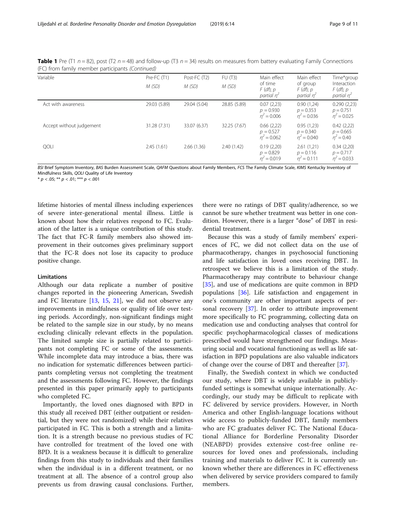| (FC) from raminy member participants (Commuted) |              |                       |                  |                                                          |                                                           |                                                                |  |  |  |
|-------------------------------------------------|--------------|-----------------------|------------------|----------------------------------------------------------|-----------------------------------------------------------|----------------------------------------------------------------|--|--|--|
| Variable                                        | Pre-FC (T1)  | Post-FC (T2)<br>M(SD) | FU (T3)<br>M(SD) | Main effect<br>of time<br>$F$ (df); $p$<br>partial $n^2$ | Main effect<br>of group<br>$F$ (df); $p$<br>partial $n^2$ | Time*group<br>Interaction<br>$F$ (df); $p$<br>partial $\eta^2$ |  |  |  |
|                                                 | M(SD)        |                       |                  |                                                          |                                                           |                                                                |  |  |  |
| Act with awareness                              | 29.03 (5.89) | 29.04 (5.04)          | 28.85 (5.89)     | 0.07(2,23)<br>$p = 0.930$<br>$n^2$ = 0.006               | 0.90(1,24)<br>$p = 0.353$<br>$n^2$ = 0.036                | 0.290(2,23)<br>$p = 0.751$<br>$\eta^2 = 0.025$                 |  |  |  |
| Accept without judgement                        | 31.28 (7.31) | 33.07 (6.37)          | 32.25 (7.67)     | 0.66(2,22)<br>$p = 0.527$<br>$n^2$ = 0.062               | 0.95(1,23)<br>$p = 0.340$<br>$n^2 = 0.040$                | 0.42(2,22)<br>$p = 0.665$<br>$n^2 = 0.40$                      |  |  |  |
| QOLI                                            | 2.45(1.61)   | 2.66(1.36)            | 2.40(1.42)       | 0.19(2,20)<br>$p = 0.829$<br>$n^2$ = 0.019               | 2.61(1,21)<br>$p = 0.116$<br>$n^2 = 0.111$                | 0.34(2,20)<br>$p = 0.717$<br>$n^2$ = 0.033                     |  |  |  |

**Table 1** Pre (T1  $n = 82$ ), post (T2  $n = 48$ ) and follow-up (T3  $n = 34$ ) results on measures from battery evaluating Family Connections (FC) from family member participants (Continued)

BSI Brief Symptom Inventory, BAS Burden Assessment Scale, QAFM Questions about Family Members, FCS The Family Climate Scale, KIMS Kentucky Inventory of Mindfulness Skills, QOLI Quality of Life Inventory

\*  $p < .05$ ; \*\*  $p < .01$ ; \*\*\*  $p < .001$ 

lifetime histories of mental illness including experiences of severe inter-generational mental illness. Little is known about how their relatives respond to FC. Evaluation of the latter is a unique contribution of this study. The fact that FC-R family members also showed improvement in their outcomes gives preliminary support that the FC-R does not lose its capacity to produce positive change.

# Limitations

Although our data replicate a number of positive changes reported in the pioneering American, Swedish and FC literature  $[13, 15, 21]$  $[13, 15, 21]$  $[13, 15, 21]$  $[13, 15, 21]$  $[13, 15, 21]$ , we did not observe any improvements in mindfulness or quality of life over testing periods. Accordingly, non-significant findings might be related to the sample size in our study, by no means excluding clinically relevant effects in the population. The limited sample size is partially related to participants not completing FC or some of the assessments. While incomplete data may introduce a bias, there was no indication for systematic differences between participants completing versus not completing the treatment and the assessments following FC. However, the findings presented in this paper primarily apply to participants who completed FC.

Importantly, the loved ones diagnosed with BPD in this study all received DBT (either outpatient or residential, but they were not randomized) while their relatives participated in FC. This is both a strength and a limitation. It is a strength because no previous studies of FC have controlled for treatment of the loved one with BPD. It is a weakness because it is difficult to generalize findings from this study to individuals and their families when the individual is in a different treatment, or no treatment at all. The absence of a control group also prevents us from drawing causal conclusions. Further, there were no ratings of DBT quality/adherence, so we cannot be sure whether treatment was better in one condition. However, there is a larger "dose" of DBT in residential treatment.

Because this was a study of family members' experiences of FC, we did not collect data on the use of pharmacotherapy, changes in psychosocial functioning and life satisfaction in loved ones receiving DBT. In retrospect we believe this is a limitation of the study. Pharmacotherapy may contribute to behaviour change [[35\]](#page-10-0), and use of medications are quite common in BPD populations [[36](#page-10-0)]. Life satisfaction and engagement in one's community are other important aspects of personal recovery [[37](#page-10-0)]. In order to attribute improvement more specifically to FC programming, collecting data on medication use and conducting analyses that control for specific psychopharmacological classes of medications prescribed would have strengthened our findings. Measuring social and vocational functioning as well as life satisfaction in BPD populations are also valuable indicators of change over the course of DBT and thereafter [\[37](#page-10-0)].

Finally, the Swedish context in which we conducted our study, where DBT is widely available in publiclyfunded settings is somewhat unique internationally. Accordingly, our study may be difficult to replicate with FC delivered by service providers. However, in North America and other English-language locations without wide access to publicly-funded DBT, family members who are FC graduates deliver FC. The National Educational Alliance for Borderline Personality Disorder (NEABPD) provides extensive cost-free online resources for loved ones and professionals, including training and materials to deliver FC. It is currently unknown whether there are differences in FC effectiveness when delivered by service providers compared to family members.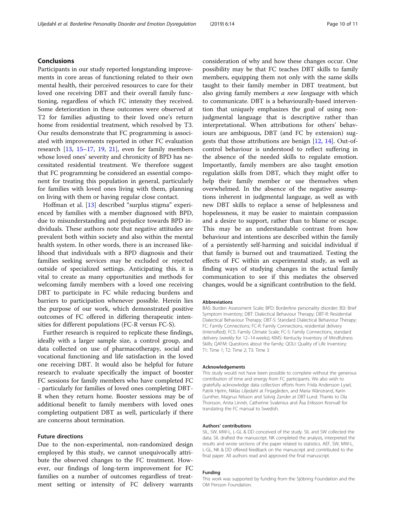# Conclusions

Participants in our study reported longstanding improvements in core areas of functioning related to their own mental health, their perceived resources to care for their loved one receiving DBT and their overall family functioning, regardless of which FC intensity they received. Some deterioration in these outcomes were observed at T2 for families adjusting to their loved one's return home from residential treatment, which resolved by T3. Our results demonstrate that FC programming is associated with improvements reported in other FC evaluation research [[13](#page-10-0), [15](#page-10-0)–[17,](#page-10-0) [19](#page-10-0), [21\]](#page-10-0), even for family members whose loved ones' severity and chronicity of BPD has necessitated residential treatment. We therefore suggest that FC programming be considered an essential component for treating this population in general, particularly for families with loved ones living with them, planning on living with them or having regular close contact.

Hoffman et al. [[13\]](#page-10-0) described "surplus stigma" experienced by families with a member diagnosed with BPD, due to misunderstanding and prejudice towards BPD individuals. These authors note that negative attitudes are prevalent both within society and also within the mental health system. In other words, there is an increased likelihood that individuals with a BPD diagnosis and their families seeking services may be excluded or rejected outside of specialized settings. Anticipating this, it is vital to create as many opportunities and methods for welcoming family members with a loved one receiving DBT to participate in FC while reducing burdens and barriers to participation whenever possible. Herein lies the purpose of our work, which demonstrated positive outcomes of FC offered in differing therapeutic intensities for different populations (FC-R versus FC-S).

Further research is required to replicate these findings, ideally with a larger sample size, a control group, and data collected on use of pharmacotherapy, social and vocational functioning and life satisfaction in the loved one receiving DBT. It would also be helpful for future research to evaluate specifically the impact of booster FC sessions for family members who have completed FC - particularly for families of loved ones completing DBT-R when they return home. Booster sessions may be of additional benefit to family members with loved ones completing outpatient DBT as well, particularly if there are concerns about termination.

# Future directions

Due to the non-experimental, non-randomized design employed by this study, we cannot unequivocally attribute the observed changes to the FC treatment. However, our findings of long-term improvement for FC families on a number of outcomes regardless of treatment setting or intensity of FC delivery warrants

consideration of why and how these changes occur. One possibility may be that FC teaches DBT skills to family members, equipping them not only with the same skills taught to their family member in DBT treatment, but also giving family members a new language with which to communicate. DBT is a behaviourally-based intervention that uniquely emphasizes the goal of using nonjudgmental language that is descriptive rather than interpretational. When attributions for others' behaviours are ambiguous, DBT (and FC by extension) suggests that those attributions are benign [\[12](#page-10-0), [14\]](#page-10-0). Out-ofcontrol behaviour is understood to reflect suffering in the absence of the needed skills to regulate emotion. Importantly, family members are also taught emotion regulation skills from DBT, which they might offer to help their family member or use themselves when overwhelmed. In the absence of the negative assumptions inherent in judgmental language, as well as with new DBT skills to replace a sense of helplessness and hopelessness, it may be easier to maintain compassion and a desire to support, rather than to blame or escape. This may be an understandable contrast from how behaviour and intentions are described within the family of a persistently self-harming and suicidal individual if that family is burned out and traumatized. Testing the effects of FC within an experimental study, as well as finding ways of studying changes in the actual family communication to see if this mediates the observed changes, would be a significant contribution to the field.

#### Abbreviations

BAS: Burden Assessment Scale; BPD: Borderline personality disorder; BSI: Brief Symptom Inventory; DBT: Dialectical Behaviour Therapy; DBT-R: Residential Dialectical Behaviour Therapy; DBT-S: Standard Dialectical Behaviour Therapy; FC: Family Connections; FC-R: Family Connections, residential delivery (intensified); FCS: Family Climate Scale; FC-S: Family Connections, standard delivery (weekly for 12–14 weeks); KIMS: Kentucky Inventory of Mindfulness Skills; QAFM: Questions about the family; QOLI: Quality of Life Inventory; T1: Time 1; T2: Time 2; T3: Time 3

#### Acknowledgements

This study would not have been possible to complete without the generous contribution of time and energy from FC participants. We also wish to gratefully acknowledge data collection efforts from: Frida Andersson Lysel, Patrik Hjelm, Niklas Liljedahl at Finjagården, and Maria Wänstrand, Karin Gunther, Magnus Nilsson and Solvig Zander at DBT-Lund. Thanks to Ola Thorsson, Anita Linnér, Catherine Svalenius and Åsa Eriksson Kronvall for translating the FC manual to Swedish.

#### Authors' contributions

SIL, SW, MW-L, L-GL & DD conceived of the study. SIL and SW collected the data. SIL drafted the manuscript. NK completed the analysis, interpreted the results and wrote sections of the paper related to statistics. AEF, SW, MW-L, L-GL, NK & DD offered feedback on the manuscript and contributed to the final paper. All authors read and approved the final manuscript.

#### Funding

This work was supported by funding from the Sjöbring Foundation and the OM Persson Foundation.